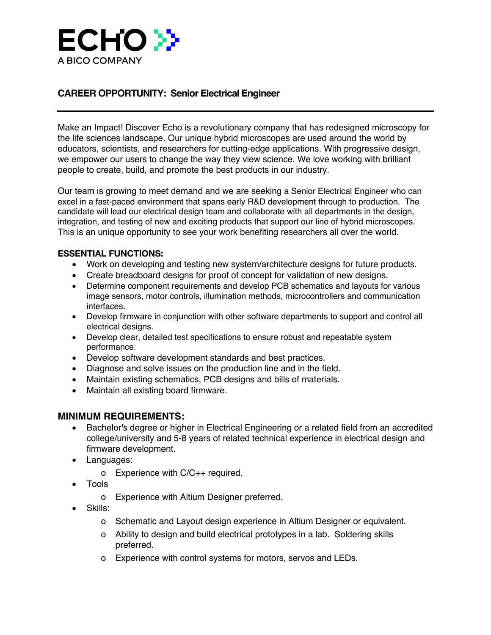

## **CAREER OPPORTUNITY: Senior Electrical Engineer**

Make an Impact! Discover Echo is a revolutionary company that has redesigned microscopy for the life sciences landscape. Our unique hybrid microscopes are used around the world by educators, scientists, and researchers for cutting-edge applications. With progressive design, we empower our users to change the way they view science. We love working with brilliant people to create, build, and promote the best products in our industry.

Our team is growing to meet demand and we are seeking a Senior Electrical Engineer who can excel in a fast-paced environment that spans early R&D development through to production. The candidate will lead our electrical design team and collaborate with all departments in the design, integration, and testing of new and exciting products that support our line of hybrid microscopes. This is an unique opportunity to see your work benefiting researchers all over the world.

## **ESSENTIAL FUNCTIONS:**

- Work on developing and testing new system/architecture designs for future products.
- Create breadboard designs for proof of concept for validation of new designs.
- Determine component requirements and develop PCB schematics and layouts for various image sensors, motor controls, illumination methods, microcontrollers and communication interfaces.
- Develop firmware in conjunction with other software departments to support and control all electrical designs.
- Develop clear, detailed test specifications to ensure robust and repeatable system performance.
- Develop software development standards and best practices.
- Diagnose and solve issues on the production line and in the field.
- Maintain existing schematics, PCB designs and bills of materials.
- Maintain all existing board firmware.

## **MINIMUM REQUIREMENTS:**

- Bachelor's degree or higher in Electrical Engineering or a related field from an accredited college/university and 5-8 years of related technical experience in electrical design and firmware development.
- Languages:
	- o Experience with C/C++ required.
- Tools
	- o Experience with Altium Designer preferred.
- Skills:
	- ! Schematic and Layout design experience in Altium Designer or equivalent.
	- ! Ability to design and build electrical prototypes in a lab. Soldering skills preferred.
	- o Experience with control systems for motors, servos and LEDs.